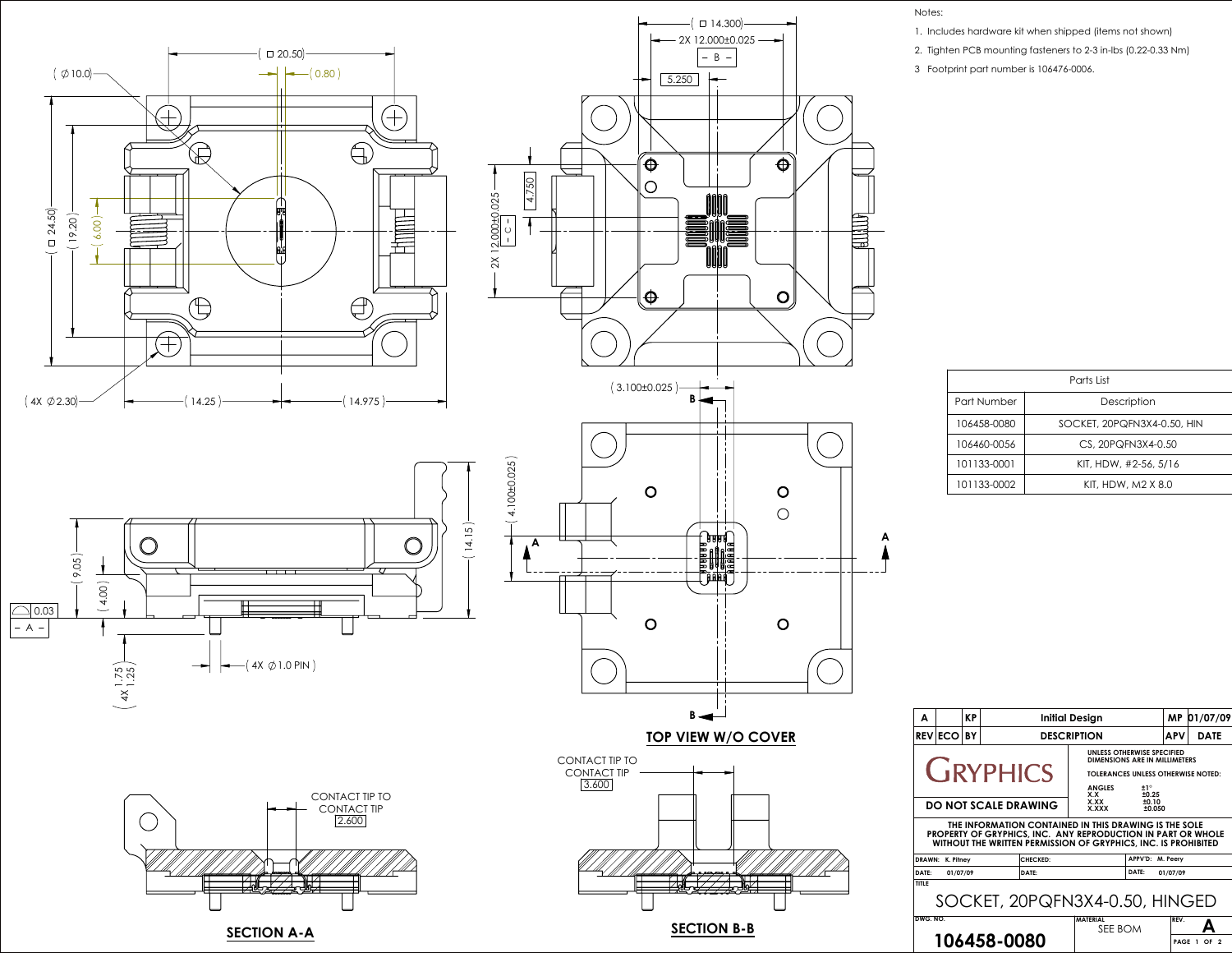

**SECTION A-A**



**SECTION B-B**

| A                                                                                                                                                                                       |                 | <b>KP</b> | <b>Initial Design</b> |                          |                                                                                                                                                  | <b>MP</b>                 | 01/07/09   |             |  |
|-----------------------------------------------------------------------------------------------------------------------------------------------------------------------------------------|-----------------|-----------|-----------------------|--------------------------|--------------------------------------------------------------------------------------------------------------------------------------------------|---------------------------|------------|-------------|--|
|                                                                                                                                                                                         | <b>REVIECOI</b> | BY        |                       | <b>DESCRIPTION</b>       |                                                                                                                                                  |                           | <b>APV</b> | <b>DATE</b> |  |
| <b>CIRYPHICS</b>                                                                                                                                                                        |                 |           |                       |                          | UNLESS OTHERWISE SPECIFIED<br>DIMENSIONS ARE IN MILLIMETERS<br><b>TOLERANCES UNLESS OTHERWISE NOTED:</b><br><b>ANGLES</b><br>±1°<br>±0.25<br>X.X |                           |            |             |  |
| <b>DO NOT SCALE DRAWING</b>                                                                                                                                                             |                 |           |                       |                          | X.XX<br><b>X.XXX</b>                                                                                                                             | ±0.10<br>±0.050           |            |             |  |
| THE INFORMATION CONTAINED IN THIS DRAWING IS THE SOLE<br>PROPERTY OF GRYPHICS, INC. ANY REPRODUCTION IN PART OR WHOLE<br>WITHOUT THE WRITTEN PERMISSION OF GRYPHICS, INC. IS PROHIBITED |                 |           |                       |                          |                                                                                                                                                  |                           |            |             |  |
| <b>DRAWN:</b>                                                                                                                                                                           | K. Pitnev       |           |                       | <b>CHECKED:</b><br>DATE: |                                                                                                                                                  | APPV'D: M. Peery<br>DATE: |            |             |  |
| DATE:<br>01/07/09<br>01/07/09<br><b>TITLE</b><br>SOCKET, 20PQFN3X4-0.50, HINGED                                                                                                         |                 |           |                       |                          |                                                                                                                                                  |                           |            |             |  |
| DWG, NO.                                                                                                                                                                                |                 |           |                       |                          | <b>MATERIAL</b><br>SEE BOM                                                                                                                       |                           | REV.       |             |  |
| 106458-0080                                                                                                                                                                             |                 |           |                       |                          |                                                                                                                                                  | <b>PAGE</b>               | OF<br>-2   |             |  |

| Parts List  |                             |  |  |  |  |
|-------------|-----------------------------|--|--|--|--|
| Part Number | Description                 |  |  |  |  |
| 106458-0080 | SOCKET, 20PQFN3X4-0.50, HIN |  |  |  |  |
| 106460-0056 | CS, 20PQFN3X4-0.50          |  |  |  |  |
| 101133-0001 | KIT, HDW, #2-56, 5/16       |  |  |  |  |
| 101133-0002 | KIT, HDW, M2 X 8.0          |  |  |  |  |

Notes:

- 1. Includes hardware kit when shipped (items not shown)
- 2. Tighten PCB mounting fasteners to 2-3 in-lbs (0.22-0.33 Nm)
- 3 Footprint part number is 106476-0006.